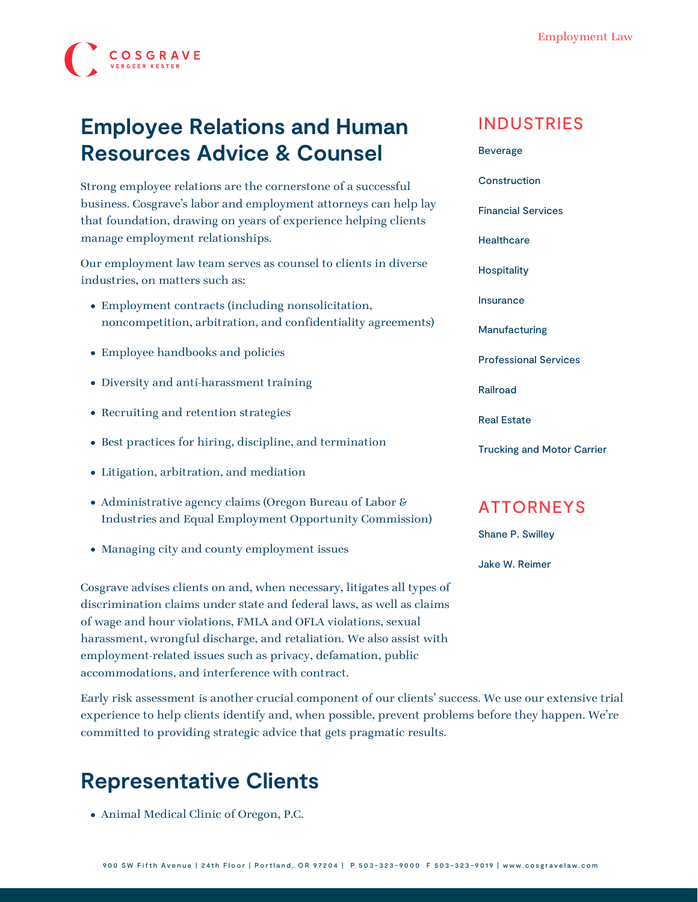

# **Employee Relations and Human Resources Advice & Counsel**

Strong employee relations are the cornerstone of a successful business. Cosgrave's labor and employment attorneys can help lay that foundation, drawing on years of experience helping clients manage employment relationships.

Our employment law team serves as counsel to clients in diverse industries, on matters such as:

- Employment contracts (including nonsolicitation, noncompetition, arbitration, and confidentiality agreements)
- Employee handbooks and policies
- Diversity and anti-harassment training
- Recruiting and retention strategies
- Best practices for hiring, discipline, and termination
- [Litigation](https://www.cosgravelaw.com/practice/employment-litigation/), [arbitration, and mediation](https://www.cosgravelaw.com/practice/arbitration-mediation)
- Administrative agency claims (Oregon Bureau of Labor & Industries and Equal Employment Opportunity Commission)
- Managing city and county employment issues

Cosgrave advises clients on and, when necessary, litigates all types of discrimination claims under state and federal laws, as well as claims of wage and hour violations, FMLA and OFLA violations, sexual harassment, wrongful discharge, and retaliation. We also assist with employment-related issues such as privacy, defamation, public accommodations, and interference with contract.

Early risk assessment is another crucial component of our clients' success. We use our extensive trial experience to help clients identify and, when possible, prevent problems before they happen. We're committed to providing strategic advice that gets pragmatic results.

### **Representative Clients**

Animal Medical Clinic of Oregon, P.C.

#### INDUSTRIES

[Beverage](https://www.cosgravelaw.com/beverage/) **[Construction](https://www.cosgravelaw.com/construction/)** [Financial Services](https://www.cosgravelaw.com/banking-financial-services-defense-attorneys/) **[Healthcare](https://www.cosgravelaw.com/healthcare/) [Hospitality](https://www.cosgravelaw.com/hospitality/)** [Insurance](https://www.cosgravelaw.com/insurance/) [Manufacturing](https://www.cosgravelaw.com/manufacturing/) [Professional Services](https://www.cosgravelaw.com/professional-services/) [Railroad](https://www.cosgravelaw.com/railroad/) [Real Estate](https://www.cosgravelaw.com/real-estate/) [Trucking and Motor Carrier](https://www.cosgravelaw.com/trucking-defense-attorneys/)

### ATTORNEYS

[Shane P. Swilley](https://www.cosgravelaw.com/shane-swilley-employment-law/)

[Jake W. Reimer](https://www.cosgravelaw.com/jake-w-reimer/)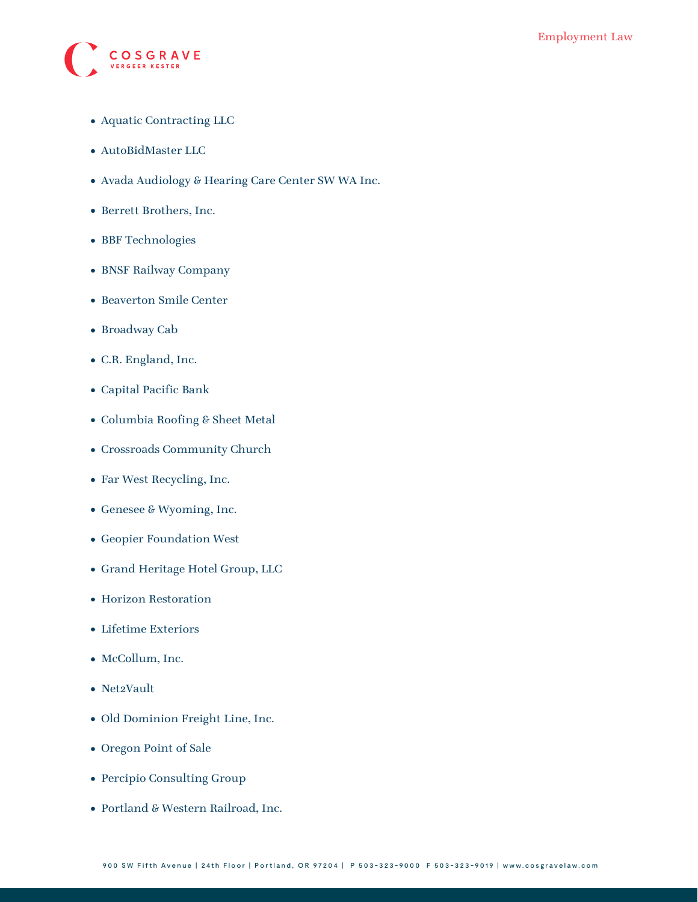

- Aquatic Contracting LLC
- AutoBidMaster LLC
- Avada Audiology & Hearing Care Center SW WA Inc.
- Berrett Brothers, Inc.
- BBF Technologies
- BNSF Railway Company
- Beaverton Smile Center
- Broadway Cab
- C.R. England, Inc.
- Capital Pacific Bank
- Columbia Roofing & Sheet Metal
- Crossroads Community Church
- Far West Recycling, Inc.
- Genesee & Wyoming, Inc.
- Geopier Foundation West
- Grand Heritage Hotel Group, LLC
- Horizon Restoration
- Lifetime Exteriors
- McCollum, Inc.
- Net2Vault
- Old Dominion Freight Line, Inc.
- Oregon Point of Sale
- Percipio Consulting Group
- Portland & Western Railroad, Inc.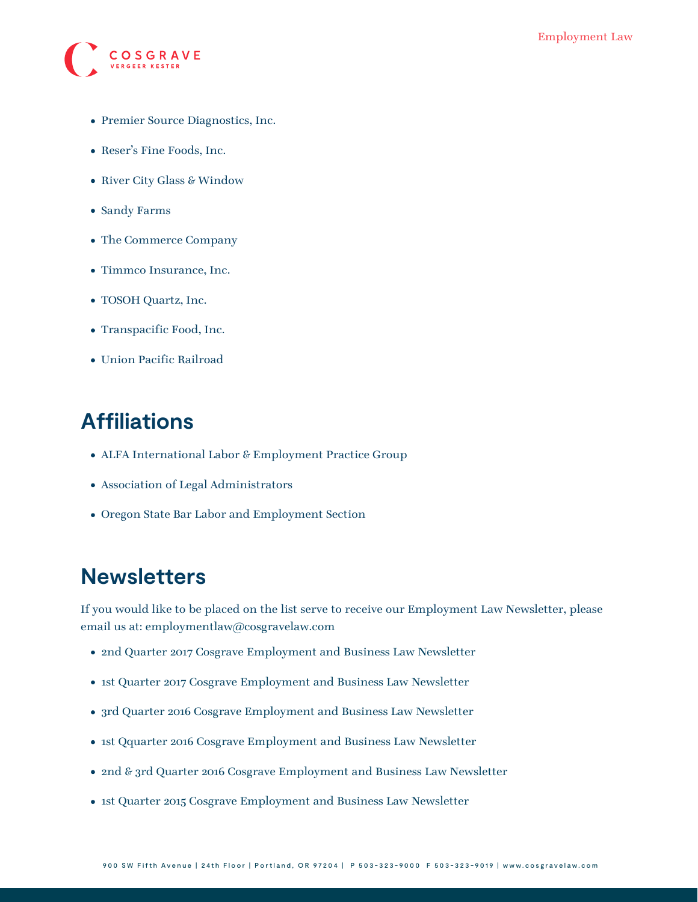

- Premier Source Diagnostics, Inc.
- Reser's Fine Foods, Inc.
- River City Glass & Window
- Sandy Farms
- The Commerce Company
- Timmco Insurance, Inc.
- TOSOH Quartz, Inc.
- Transpacific Food, Inc.
- Union Pacific Railroad

## **Affiliations**

- ALFA International Labor & Employment Practice Group
- Association of Legal Administrators
- Oregon State Bar Labor and Employment Section

### **Newsletters**

If you would like to be placed on the list serve to receive our Employment Law Newsletter, please email us at: [employmentlaw@cosgravelaw.com](mailto:employmentlaw@cosgravelaw.com)

- [2nd Quarter 2017 Cosgrave Employment and Business Law Newsletter](https://www.cosgravelaw.com/wp-content/uploads/2015/03/2nd-Quarter-2017-Cosgrave-Employment-and-Business-Law-Newsletter.pdf)
- [1st Quarter 2017 Cosgrave Employment and Business Law Newsletter](https://www.cosgravelaw.com/wp-content/uploads/2015/03/1st-Quarter-2017-Cosgrave-Employment-and-Business-Law-Newsletter.pdf)
- [3rd Quarter 2016 Cosgrave Employment and Business Law Newsletter](https://www.cosgravelaw.com/wp-content/uploads/2015/03/August-2016-Cosgrave-Employment-and-Business-Law-Newsletter.pdf)
- [1st Qquarter 2016 Cosgrave Employment and Business Law Newsletter](https://www.cosgravelaw.com/wp-content/uploads/2016/03/1st-Quarter-2016-Cosgrave-Employment-and-Business-Law-Newsletter.pdf)
- [2nd & 3rd Quarter 2016 Cosgrave Employment and Business Law Newsletter](https://www.cosgravelaw.com/wp-content/uploads/2015/03/2nd-3rd-Quarter-Cosgrave-Employment-and-Business-Law-Newsletter1.pdf)
- [1st Quarter 2015 Cosgrave Employment and Business Law Newsletter](https://www.cosgravelaw.com/wp-content/uploads/2015/03/1st-Quarter-Cosgrave-Employment-and-Business-Law-Newsletter.pdf)